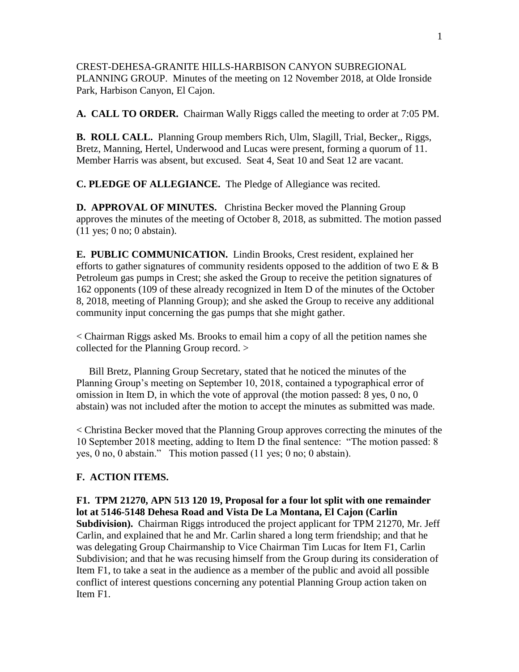CREST-DEHESA-GRANITE HILLS-HARBISON CANYON SUBREGIONAL PLANNING GROUP. Minutes of the meeting on 12 November 2018, at Olde Ironside Park, Harbison Canyon, El Cajon.

**A. CALL TO ORDER.** Chairman Wally Riggs called the meeting to order at 7:05 PM.

**B. ROLL CALL.** Planning Group members Rich, Ulm, Slagill, Trial, Becker,, Riggs, Bretz, Manning, Hertel, Underwood and Lucas were present, forming a quorum of 11. Member Harris was absent, but excused. Seat 4, Seat 10 and Seat 12 are vacant.

**C. PLEDGE OF ALLEGIANCE.** The Pledge of Allegiance was recited.

**D. APPROVAL OF MINUTES.** Christina Becker moved the Planning Group approves the minutes of the meeting of October 8, 2018, as submitted. The motion passed (11 yes; 0 no; 0 abstain).

**E. PUBLIC COMMUNICATION.** Lindin Brooks, Crest resident, explained her efforts to gather signatures of community residents opposed to the addition of two  $E \& B$ Petroleum gas pumps in Crest; she asked the Group to receive the petition signatures of 162 opponents (109 of these already recognized in Item D of the minutes of the October 8, 2018, meeting of Planning Group); and she asked the Group to receive any additional community input concerning the gas pumps that she might gather.

< Chairman Riggs asked Ms. Brooks to email him a copy of all the petition names she collected for the Planning Group record. >

 Bill Bretz, Planning Group Secretary, stated that he noticed the minutes of the Planning Group's meeting on September 10, 2018, contained a typographical error of omission in Item D, in which the vote of approval (the motion passed: 8 yes, 0 no, 0 abstain) was not included after the motion to accept the minutes as submitted was made.

< Christina Becker moved that the Planning Group approves correcting the minutes of the 10 September 2018 meeting, adding to Item D the final sentence: "The motion passed: 8 yes, 0 no, 0 abstain." This motion passed (11 yes; 0 no; 0 abstain).

## **F. ACTION ITEMS.**

Item F1.

**F1. TPM 21270, APN 513 120 19, Proposal for a four lot split with one remainder lot at 5146-5148 Dehesa Road and Vista De La Montana, El Cajon (Carlin Subdivision).** Chairman Riggs introduced the project applicant for TPM 21270, Mr. Jeff Carlin, and explained that he and Mr. Carlin shared a long term friendship; and that he was delegating Group Chairmanship to Vice Chairman Tim Lucas for Item F1, Carlin Subdivision; and that he was recusing himself from the Group during its consideration of Item F1, to take a seat in the audience as a member of the public and avoid all possible

conflict of interest questions concerning any potential Planning Group action taken on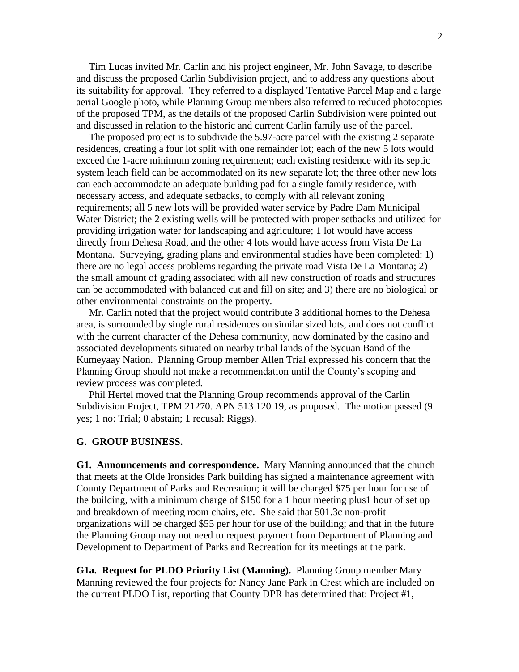Tim Lucas invited Mr. Carlin and his project engineer, Mr. John Savage, to describe and discuss the proposed Carlin Subdivision project, and to address any questions about its suitability for approval. They referred to a displayed Tentative Parcel Map and a large aerial Google photo, while Planning Group members also referred to reduced photocopies of the proposed TPM, as the details of the proposed Carlin Subdivision were pointed out and discussed in relation to the historic and current Carlin family use of the parcel.

 The proposed project is to subdivide the 5.97-acre parcel with the existing 2 separate residences, creating a four lot split with one remainder lot; each of the new 5 lots would exceed the 1-acre minimum zoning requirement; each existing residence with its septic system leach field can be accommodated on its new separate lot; the three other new lots can each accommodate an adequate building pad for a single family residence, with necessary access, and adequate setbacks, to comply with all relevant zoning requirements; all 5 new lots will be provided water service by Padre Dam Municipal Water District; the 2 existing wells will be protected with proper setbacks and utilized for providing irrigation water for landscaping and agriculture; 1 lot would have access directly from Dehesa Road, and the other 4 lots would have access from Vista De La Montana. Surveying, grading plans and environmental studies have been completed: 1) there are no legal access problems regarding the private road Vista De La Montana; 2) the small amount of grading associated with all new construction of roads and structures can be accommodated with balanced cut and fill on site; and 3) there are no biological or other environmental constraints on the property.

 Mr. Carlin noted that the project would contribute 3 additional homes to the Dehesa area, is surrounded by single rural residences on similar sized lots, and does not conflict with the current character of the Dehesa community, now dominated by the casino and associated developments situated on nearby tribal lands of the Sycuan Band of the Kumeyaay Nation. Planning Group member Allen Trial expressed his concern that the Planning Group should not make a recommendation until the County's scoping and review process was completed.

 Phil Hertel moved that the Planning Group recommends approval of the Carlin Subdivision Project, TPM 21270. APN 513 120 19, as proposed. The motion passed (9 yes; 1 no: Trial; 0 abstain; 1 recusal: Riggs).

## **G. GROUP BUSINESS.**

**G1. Announcements and correspondence.** Mary Manning announced that the church that meets at the Olde Ironsides Park building has signed a maintenance agreement with County Department of Parks and Recreation; it will be charged \$75 per hour for use of the building, with a minimum charge of \$150 for a 1 hour meeting plus1 hour of set up and breakdown of meeting room chairs, etc. She said that 501.3c non-profit organizations will be charged \$55 per hour for use of the building; and that in the future the Planning Group may not need to request payment from Department of Planning and Development to Department of Parks and Recreation for its meetings at the park.

**G1a. Request for PLDO Priority List (Manning).** Planning Group member Mary Manning reviewed the four projects for Nancy Jane Park in Crest which are included on the current PLDO List, reporting that County DPR has determined that: Project #1,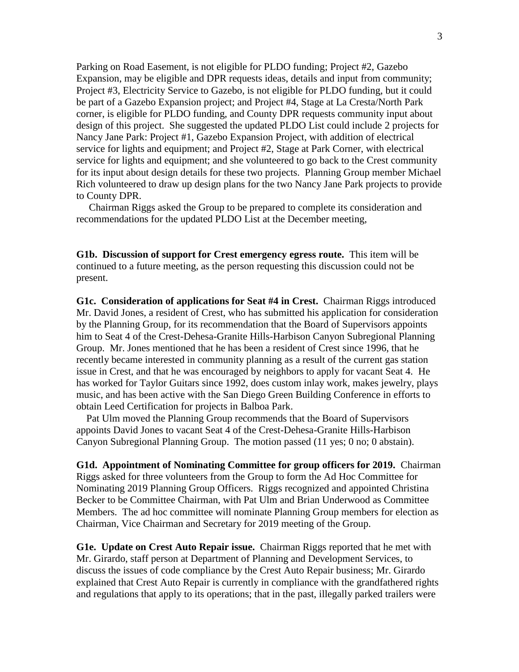Parking on Road Easement, is not eligible for PLDO funding; Project #2, Gazebo Expansion, may be eligible and DPR requests ideas, details and input from community; Project #3, Electricity Service to Gazebo, is not eligible for PLDO funding, but it could be part of a Gazebo Expansion project; and Project #4, Stage at La Cresta/North Park corner, is eligible for PLDO funding, and County DPR requests community input about design of this project. She suggested the updated PLDO List could include 2 projects for Nancy Jane Park: Project #1, Gazebo Expansion Project, with addition of electrical service for lights and equipment; and Project #2, Stage at Park Corner, with electrical service for lights and equipment; and she volunteered to go back to the Crest community for its input about design details for these two projects. Planning Group member Michael Rich volunteered to draw up design plans for the two Nancy Jane Park projects to provide to County DPR.

 Chairman Riggs asked the Group to be prepared to complete its consideration and recommendations for the updated PLDO List at the December meeting,

**G1b. Discussion of support for Crest emergency egress route.** This item will be continued to a future meeting, as the person requesting this discussion could not be present.

**G1c. Consideration of applications for Seat #4 in Crest.** Chairman Riggs introduced Mr. David Jones, a resident of Crest, who has submitted his application for consideration by the Planning Group, for its recommendation that the Board of Supervisors appoints him to Seat 4 of the Crest-Dehesa-Granite Hills-Harbison Canyon Subregional Planning Group. Mr. Jones mentioned that he has been a resident of Crest since 1996, that he recently became interested in community planning as a result of the current gas station issue in Crest, and that he was encouraged by neighbors to apply for vacant Seat 4. He has worked for Taylor Guitars since 1992, does custom inlay work, makes jewelry, plays music, and has been active with the San Diego Green Building Conference in efforts to obtain Leed Certification for projects in Balboa Park.

 Pat Ulm moved the Planning Group recommends that the Board of Supervisors appoints David Jones to vacant Seat 4 of the Crest-Dehesa-Granite Hills-Harbison Canyon Subregional Planning Group. The motion passed (11 yes; 0 no; 0 abstain).

**G1d. Appointment of Nominating Committee for group officers for 2019.** Chairman Riggs asked for three volunteers from the Group to form the Ad Hoc Committee for Nominating 2019 Planning Group Officers. Riggs recognized and appointed Christina Becker to be Committee Chairman, with Pat Ulm and Brian Underwood as Committee Members. The ad hoc committee will nominate Planning Group members for election as Chairman, Vice Chairman and Secretary for 2019 meeting of the Group.

**G1e. Update on Crest Auto Repair issue.** Chairman Riggs reported that he met with Mr. Girardo, staff person at Department of Planning and Development Services, to discuss the issues of code compliance by the Crest Auto Repair business; Mr. Girardo explained that Crest Auto Repair is currently in compliance with the grandfathered rights and regulations that apply to its operations; that in the past, illegally parked trailers were